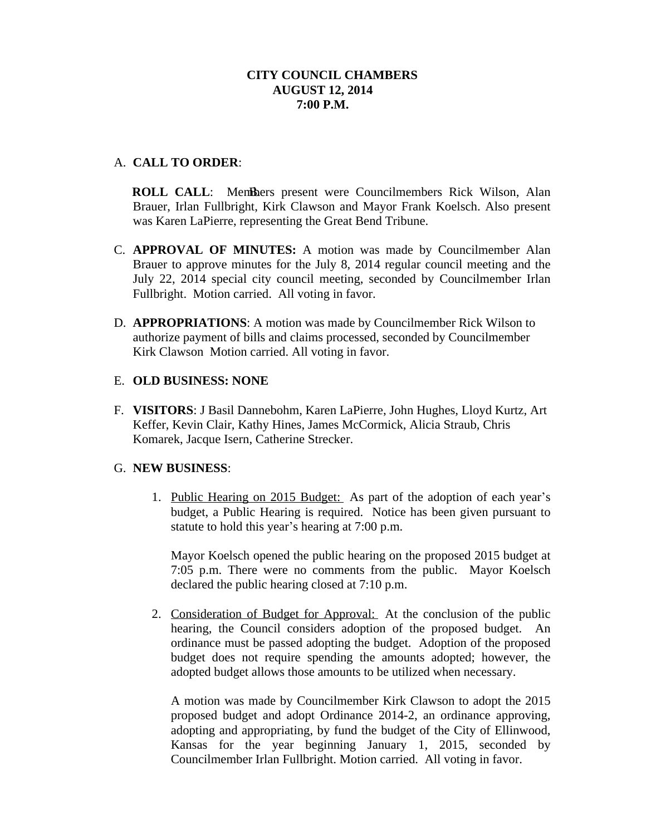# A. **CALL TO ORDER**:

**ROLL CALL:** Members present were Councilmembers Rick Wilson, Alan Brauer, Irlan Fullbright, Kirk Clawson and Mayor Frank Koelsch. Also present was Karen LaPierre, representing the Great Bend Tribune.

- C. **APPROVAL OF MINUTES:** A motion was made by Councilmember Alan Brauer to approve minutes for the July 8, 2014 regular council meeting and the July 22, 2014 special city council meeting, seconded by Councilmember Irlan Fullbright. Motion carried. All voting in favor.
- D. **APPROPRIATIONS**: A motion was made by Councilmember Rick Wilson to authorize payment of bills and claims processed, seconded by Councilmember Kirk Clawson Motion carried. All voting in favor.

## E. **OLD BUSINESS: NONE**

F. **VISITORS**: J Basil Dannebohm, Karen LaPierre, John Hughes, Lloyd Kurtz, Art Keffer, Kevin Clair, Kathy Hines, James McCormick, Alicia Straub, Chris Komarek, Jacque Isern, Catherine Strecker.

## G. **NEW BUSINESS**:

1. Public Hearing on 2015 Budget: As part of the adoption of each year's budget, a Public Hearing is required. Notice has been given pursuant to statute to hold this year's hearing at 7:00 p.m.

Mayor Koelsch opened the public hearing on the proposed 2015 budget at 7:05 p.m. There were no comments from the public. Mayor Koelsch declared the public hearing closed at 7:10 p.m.

2. Consideration of Budget for Approval: At the conclusion of the public hearing, the Council considers adoption of the proposed budget. An ordinance must be passed adopting the budget. Adoption of the proposed budget does not require spending the amounts adopted; however, the adopted budget allows those amounts to be utilized when necessary.

A motion was made by Councilmember Kirk Clawson to adopt the 2015 proposed budget and adopt Ordinance 2014-2, an ordinance approving, adopting and appropriating, by fund the budget of the City of Ellinwood, Kansas for the year beginning January 1, 2015, seconded by Councilmember Irlan Fullbright. Motion carried. All voting in favor.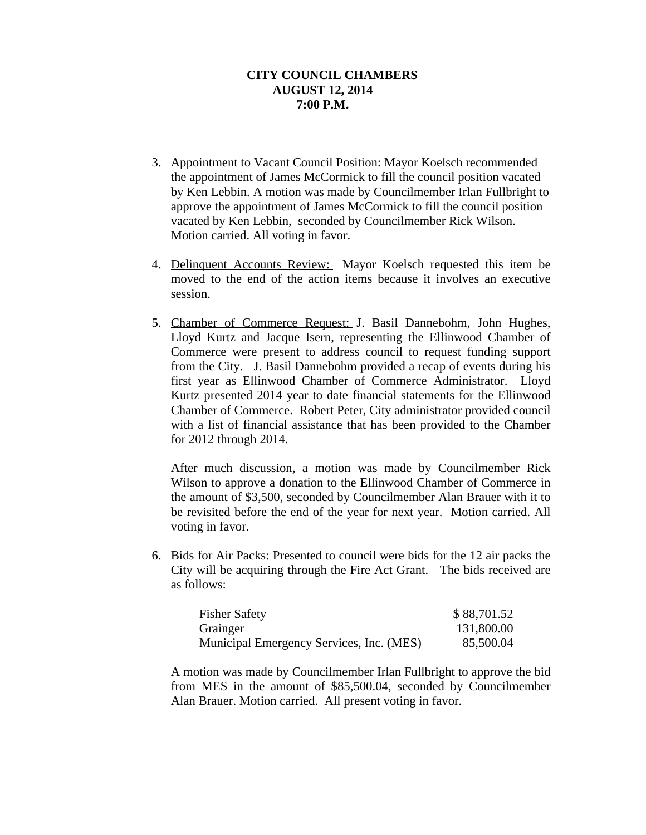- 3. Appointment to Vacant Council Position: Mayor Koelsch recommended the appointment of James McCormick to fill the council position vacated by Ken Lebbin. A motion was made by Councilmember Irlan Fullbright to approve the appointment of James McCormick to fill the council position vacated by Ken Lebbin, seconded by Councilmember Rick Wilson. Motion carried. All voting in favor.
- 4. Delinquent Accounts Review: Mayor Koelsch requested this item be moved to the end of the action items because it involves an executive session.
- 5. Chamber of Commerce Request: J. Basil Dannebohm, John Hughes, Lloyd Kurtz and Jacque Isern, representing the Ellinwood Chamber of Commerce were present to address council to request funding support from the City. J. Basil Dannebohm provided a recap of events during his first year as Ellinwood Chamber of Commerce Administrator. Lloyd Kurtz presented 2014 year to date financial statements for the Ellinwood Chamber of Commerce. Robert Peter, City administrator provided council with a list of financial assistance that has been provided to the Chamber for 2012 through 2014.

After much discussion, a motion was made by Councilmember Rick Wilson to approve a donation to the Ellinwood Chamber of Commerce in the amount of \$3,500, seconded by Councilmember Alan Brauer with it to be revisited before the end of the year for next year. Motion carried. All voting in favor.

6. Bids for Air Packs: Presented to council were bids for the 12 air packs the City will be acquiring through the Fire Act Grant. The bids received are as follows:

| <b>Fisher Safety</b>                     | \$88,701.52 |
|------------------------------------------|-------------|
| Grainger                                 | 131,800.00  |
| Municipal Emergency Services, Inc. (MES) | 85,500.04   |

A motion was made by Councilmember Irlan Fullbright to approve the bid from MES in the amount of \$85,500.04, seconded by Councilmember Alan Brauer. Motion carried. All present voting in favor.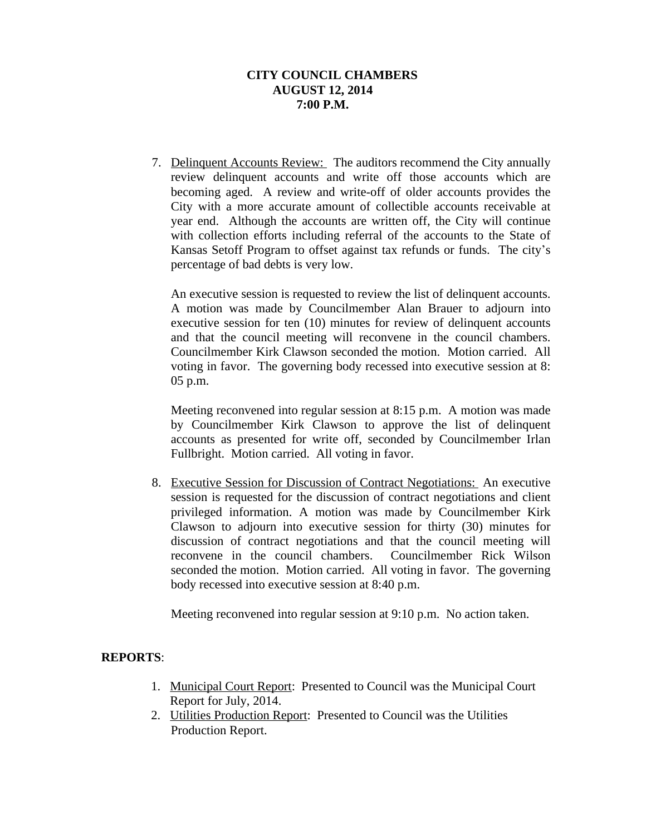7. Delinquent Accounts Review: The auditors recommend the City annually review delinquent accounts and write off those accounts which are becoming aged. A review and write-off of older accounts provides the City with a more accurate amount of collectible accounts receivable at year end. Although the accounts are written off, the City will continue with collection efforts including referral of the accounts to the State of Kansas Setoff Program to offset against tax refunds or funds. The city's percentage of bad debts is very low.

An executive session is requested to review the list of delinquent accounts. A motion was made by Councilmember Alan Brauer to adjourn into executive session for ten (10) minutes for review of delinquent accounts and that the council meeting will reconvene in the council chambers. Councilmember Kirk Clawson seconded the motion. Motion carried. All voting in favor. The governing body recessed into executive session at 8: 05 p.m.

Meeting reconvened into regular session at 8:15 p.m. A motion was made by Councilmember Kirk Clawson to approve the list of delinquent accounts as presented for write off, seconded by Councilmember Irlan Fullbright. Motion carried. All voting in favor.

8. Executive Session for Discussion of Contract Negotiations: An executive session is requested for the discussion of contract negotiations and client privileged information. A motion was made by Councilmember Kirk Clawson to adjourn into executive session for thirty (30) minutes for discussion of contract negotiations and that the council meeting will reconvene in the council chambers. Councilmember Rick Wilson seconded the motion. Motion carried. All voting in favor. The governing body recessed into executive session at 8:40 p.m.

Meeting reconvened into regular session at 9:10 p.m. No action taken.

## **REPORTS**:

- 1. Municipal Court Report: Presented to Council was the Municipal Court Report for July, 2014.
- 2. Utilities Production Report: Presented to Council was the Utilities Production Report.